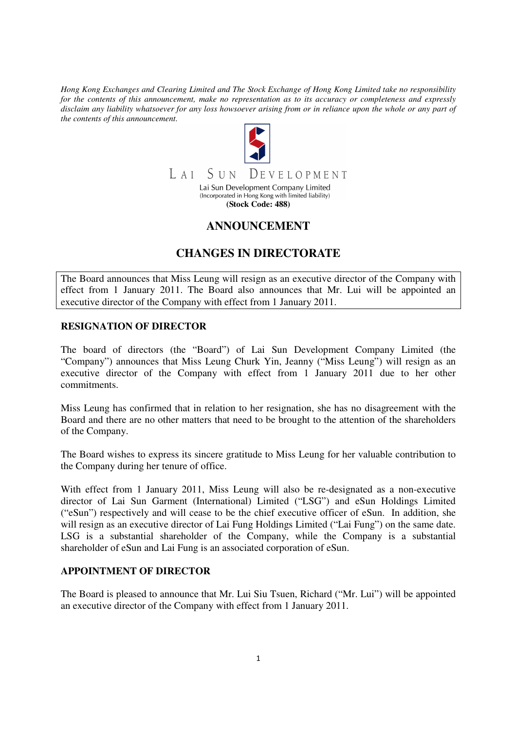*Hong Kong Exchanges and Clearing Limited and The Stock Exchange of Hong Kong Limited take no responsibility for the contents of this announcement, make no representation as to its accuracy or completeness and expressly disclaim any liability whatsoever for any loss howsoever arising from or in reliance upon the whole or any part of the contents of this announcement.* 



# **ANNOUNCEMENT**

# **CHANGES IN DIRECTORATE**

The Board announces that Miss Leung will resign as an executive director of the Company with effect from 1 January 2011. The Board also announces that Mr. Lui will be appointed an executive director of the Company with effect from 1 January 2011.

### **RESIGNATION OF DIRECTOR**

The board of directors (the "Board") of Lai Sun Development Company Limited (the "Company") announces that Miss Leung Churk Yin, Jeanny ("Miss Leung") will resign as an executive director of the Company with effect from 1 January 2011 due to her other commitments.

Miss Leung has confirmed that in relation to her resignation, she has no disagreement with the Board and there are no other matters that need to be brought to the attention of the shareholders of the Company.

The Board wishes to express its sincere gratitude to Miss Leung for her valuable contribution to the Company during her tenure of office.

With effect from 1 January 2011, Miss Leung will also be re-designated as a non-executive director of Lai Sun Garment (International) Limited ("LSG") and eSun Holdings Limited ("eSun") respectively and will cease to be the chief executive officer of eSun. In addition, she will resign as an executive director of Lai Fung Holdings Limited ("Lai Fung") on the same date. LSG is a substantial shareholder of the Company, while the Company is a substantial shareholder of eSun and Lai Fung is an associated corporation of eSun.

### **APPOINTMENT OF DIRECTOR**

The Board is pleased to announce that Mr. Lui Siu Tsuen, Richard ("Mr. Lui") will be appointed an executive director of the Company with effect from 1 January 2011.